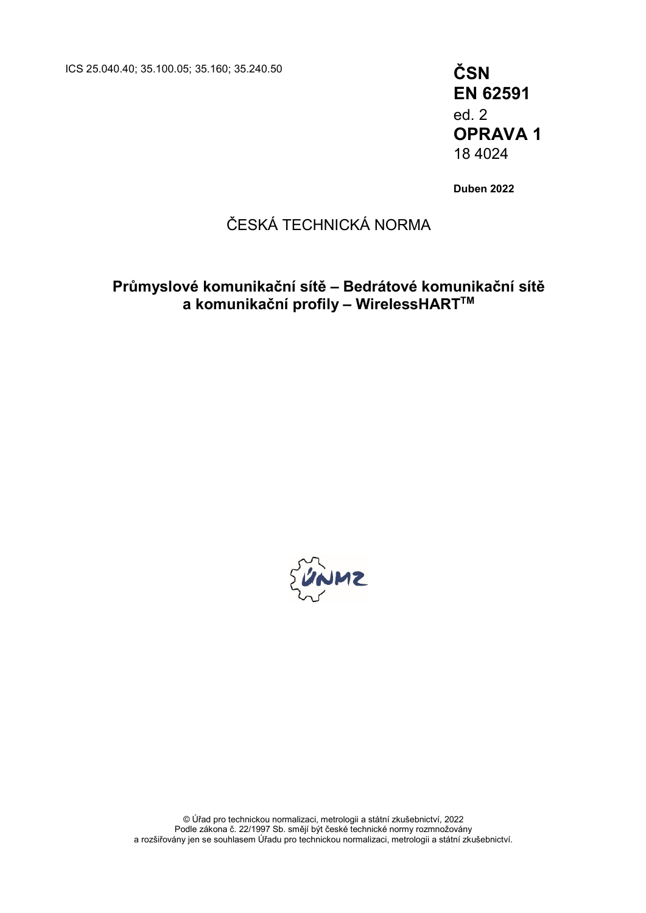**Duben 2022**

# ČESKÁ TECHNICKÁ NORMA

# **Průmyslové komunikační sítě – Bedrátové komunikační sítě a komunikační profily – WirelessHARTTM**



© Úřad pro technickou normalizaci, metrologii a státní zkušebnictví, 2022 Podle zákona č. 22/1997 Sb. smějí být české technické normy rozmnožovány a rozšiřovány jen se souhlasem Úřadu pro technickou normalizaci, metrologii a státní zkušebnictví.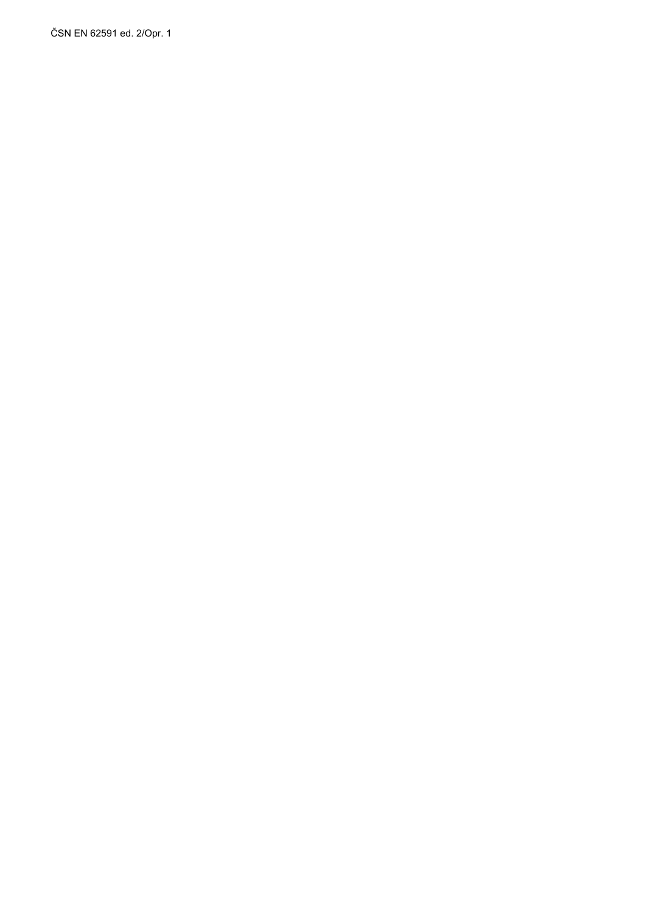ČSN EN 62591 ed. 2/Opr. 1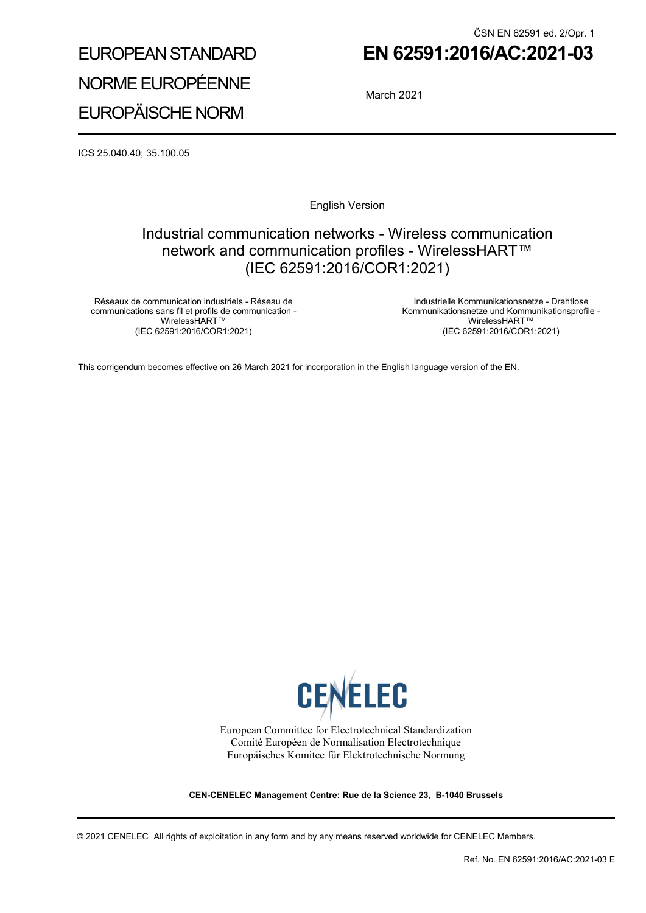# EUROPEAN STANDARD NORME EUROPÉENNE EUROPÄISCHE NORM



March 2021

ICS 25.040.40; 35.100.05

English Version

## Industrial communication networks - Wireless communication network and communication profiles - WirelessHART™ (IEC 62591:2016/COR1:2021)

Réseaux de communication industriels - Réseau de communications sans fil et profils de communication - WirelessHART™ (IEC 62591:2016/COR1:2021)

Industrielle Kommunikationsnetze - Drahtlose Kommunikationsnetze und Kommunikationsprofile - WirelessHART™ (IEC 62591:2016/COR1:2021)

This corrigendum becomes effective on 26 March 2021 for incorporation in the English language version of the EN.



European Committee for Electrotechnical Standardization Comité Européen de Normalisation Electrotechnique Europäisches Komitee für Elektrotechnische Normung

**CEN-CENELEC Management Centre: Rue de la Science 23, B-1040 Brussels**

© 2021 CENELEC All rights of exploitation in any form and by any means reserved worldwide for CENELEC Members.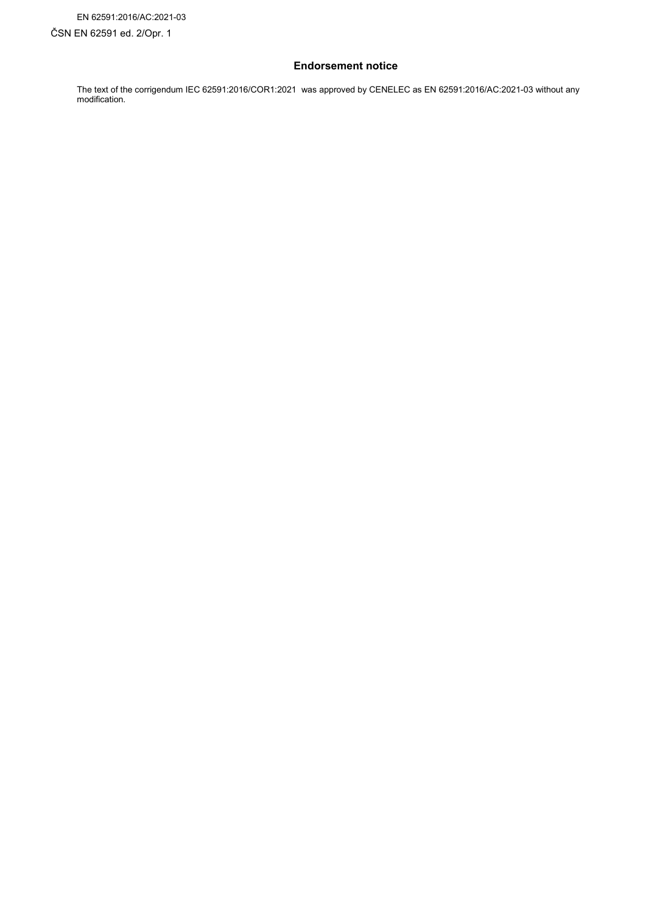EN 62591:2016/AC:2021-03 ČSN EN 62591 ed. 2/Opr. 1

#### **Endorsement notice**

The text of the corrigendum IEC 62591:2016/COR1:2021 was approved by CENELEC as EN 62591:2016/AC:2021-03 without any modification.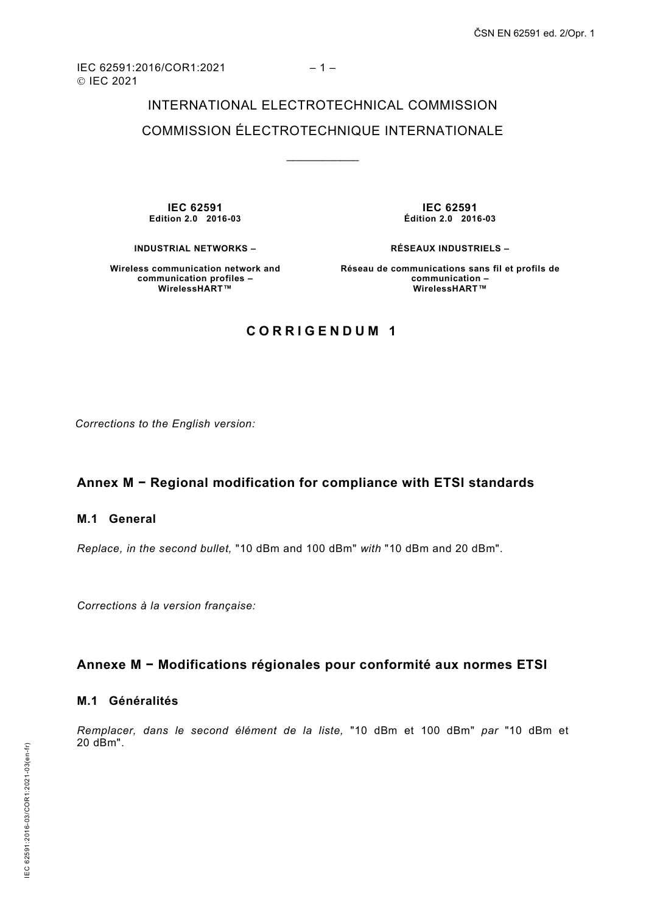IEC 62591:2016/COR1:2021 – 1 – © IEC 2021

# INTERNATIONAL ELECTROTECHNICAL COMMISSION COMMISSION ÉLECTROTECHNIQUE INTERNATIONALE

\_\_\_\_\_\_\_\_\_\_\_\_

**IEC 62591 Edition 2.0 2016-03**

**IEC 62591 Édition 2.0 2016-03**

**INDUSTRIAL NETWORKS –** 

**communication profiles – WirelessHART™**

**Wireless communication network and Réseau de communications sans fil et profils de RÉSEAUX INDUSTRIELS –** 

**communication – WirelessHART™**

## **CORRIGENDUM 1**

*Corrections to the English version:* 

## **Annex M − Regional modification for compliance with ETSI standards**

### **M.1 General**

*Replace, in the second bullet,* "10 dBm and 100 dBm" *with* "10 dBm and 20 dBm".

*Corrections à la version française:*

### **Annexe M − Modifications régionales pour conformité aux normes ETSI**

#### **M.1 Généralités**

*Remplacer, dans le second élément de la liste,* "10 dBm et 100 dBm" *par* "10 dBm et 20 dBm".